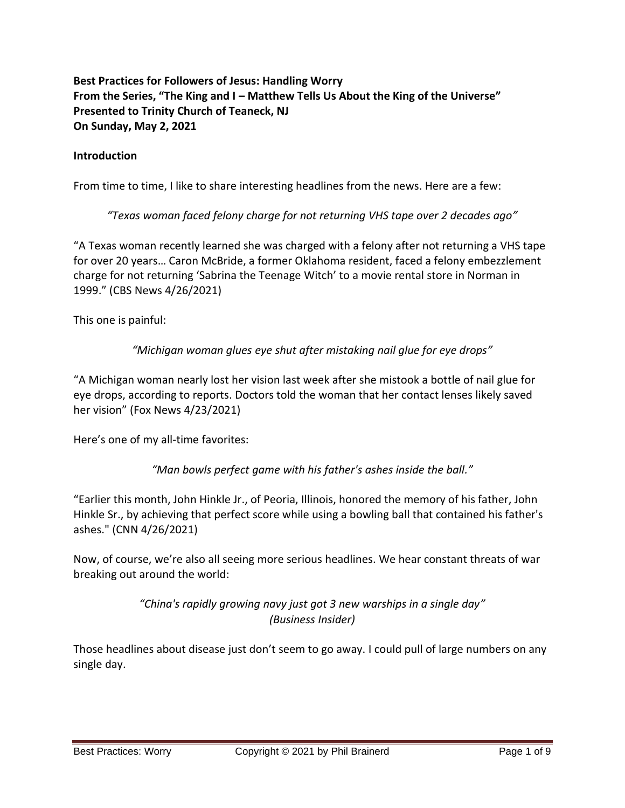# **Best Practices for Followers of Jesus: Handling Worry From the Series, "The King and I – Matthew Tells Us About the King of the Universe" Presented to Trinity Church of Teaneck, NJ On Sunday, May 2, 2021**

#### **Introduction**

From time to time, I like to share interesting headlines from the news. Here are a few:

*"Texas woman faced felony charge for not returning VHS tape over 2 decades ago"*

"A Texas woman recently learned she was charged with a felony after not returning a VHS tape for over 20 years… Caron McBride, a former Oklahoma resident, faced a felony embezzlement charge for not returning 'Sabrina the Teenage Witch' to a movie rental store in Norman in 1999." (CBS News 4/26/2021)

This one is painful:

#### *"Michigan woman glues eye shut after mistaking nail glue for eye drops"*

"A Michigan woman nearly lost her vision last week after she mistook a bottle of nail glue for eye drops, according to reports. Doctors told the woman that her contact lenses likely saved her vision" (Fox News 4/23/2021)

Here's one of my all-time favorites:

### *"Man bowls perfect game with his father's ashes inside the ball."*

"Earlier this month, John Hinkle Jr., of Peoria, Illinois, honored the memory of his father, John Hinkle Sr., by achieving that perfect score while using a bowling ball that contained his father's ashes." (CNN 4/26/2021)

Now, of course, we're also all seeing more serious headlines. We hear constant threats of war breaking out around the world:

### *"China's rapidly growing navy just got 3 new warships in a single day" (Business Insider)*

Those headlines about disease just don't seem to go away. I could pull of large numbers on any single day.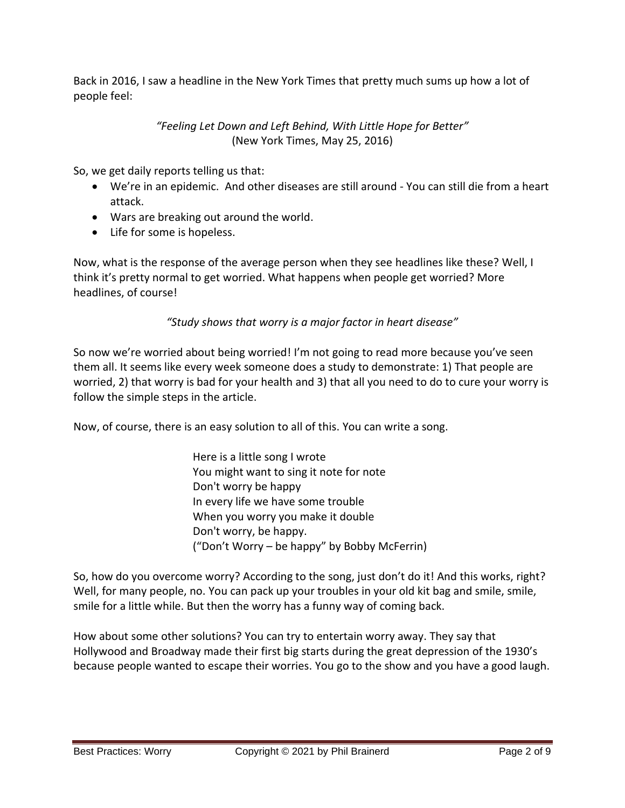Back in 2016, I saw a headline in the New York Times that pretty much sums up how a lot of people feel:

# *"Feeling Let Down and Left Behind, With Little Hope for Better"* (New York Times, May 25, 2016)

So, we get daily reports telling us that:

- We're in an epidemic. And other diseases are still around You can still die from a heart attack.
- Wars are breaking out around the world.
- Life for some is hopeless.

Now, what is the response of the average person when they see headlines like these? Well, I think it's pretty normal to get worried. What happens when people get worried? More headlines, of course!

*"Study shows that worry is a major factor in heart disease"*

So now we're worried about being worried! I'm not going to read more because you've seen them all. It seems like every week someone does a study to demonstrate: 1) That people are worried, 2) that worry is bad for your health and 3) that all you need to do to cure your worry is follow the simple steps in the article.

Now, of course, there is an easy solution to all of this. You can write a song.

Here is a little song I wrote You might want to sing it note for note Don't worry be happy In every life we have some trouble When you worry you make it double Don't worry, be happy. ("Don't Worry – be happy" by Bobby McFerrin)

So, how do you overcome worry? According to the song, just don't do it! And this works, right? Well, for many people, no. You can pack up your troubles in your old kit bag and smile, smile, smile for a little while. But then the worry has a funny way of coming back.

How about some other solutions? You can try to entertain worry away. They say that Hollywood and Broadway made their first big starts during the great depression of the 1930's because people wanted to escape their worries. You go to the show and you have a good laugh.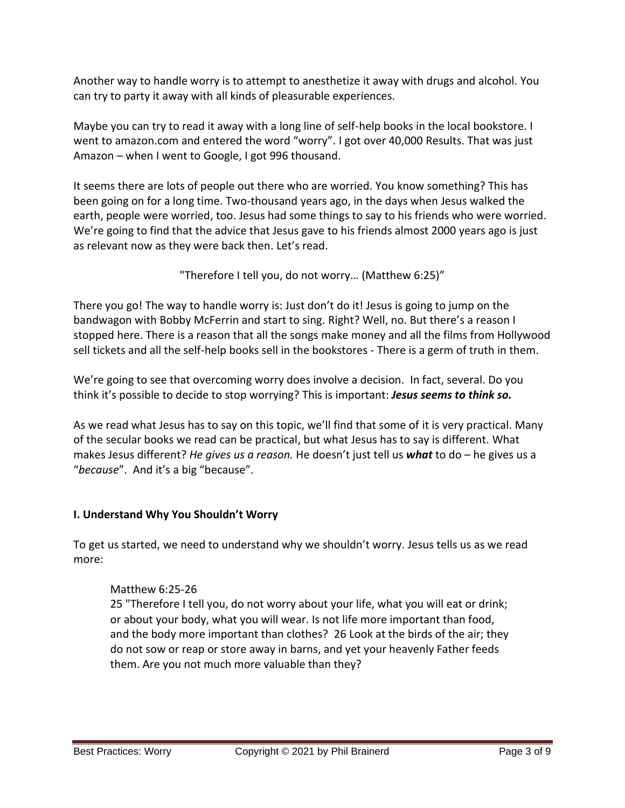Another way to handle worry is to attempt to anesthetize it away with drugs and alcohol. You can try to party it away with all kinds of pleasurable experiences.

Maybe you can try to read it away with a long line of self-help books in the local bookstore. I went to amazon.com and entered the word "worry". I got over 40,000 Results. That was just Amazon – when I went to Google, I got 996 thousand.

It seems there are lots of people out there who are worried. You know something? This has been going on for a long time. Two-thousand years ago, in the days when Jesus walked the earth, people were worried, too. Jesus had some things to say to his friends who were worried. We're going to find that the advice that Jesus gave to his friends almost 2000 years ago is just as relevant now as they were back then. Let's read.

"Therefore I tell you, do not worry… (Matthew 6:25)"

There you go! The way to handle worry is: Just don't do it! Jesus is going to jump on the bandwagon with Bobby McFerrin and start to sing. Right? Well, no. But there's a reason I stopped here. There is a reason that all the songs make money and all the films from Hollywood sell tickets and all the self-help books sell in the bookstores - There is a germ of truth in them.

We're going to see that overcoming worry does involve a decision. In fact, several. Do you think it's possible to decide to stop worrying? This is important: *Jesus seems to think so.*

As we read what Jesus has to say on this topic, we'll find that some of it is very practical. Many of the secular books we read can be practical, but what Jesus has to say is different. What makes Jesus different? *He gives us a reason.* He doesn't just tell us *what* to do – he gives us a "*because*". And it's a big "because".

### **I. Understand Why You Shouldn't Worry**

To get us started, we need to understand why we shouldn't worry. Jesus tells us as we read more:

### Matthew 6:25-26

25 "Therefore I tell you, do not worry about your life, what you will eat or drink; or about your body, what you will wear. Is not life more important than food, and the body more important than clothes? 26 Look at the birds of the air; they do not sow or reap or store away in barns, and yet your heavenly Father feeds them. Are you not much more valuable than they?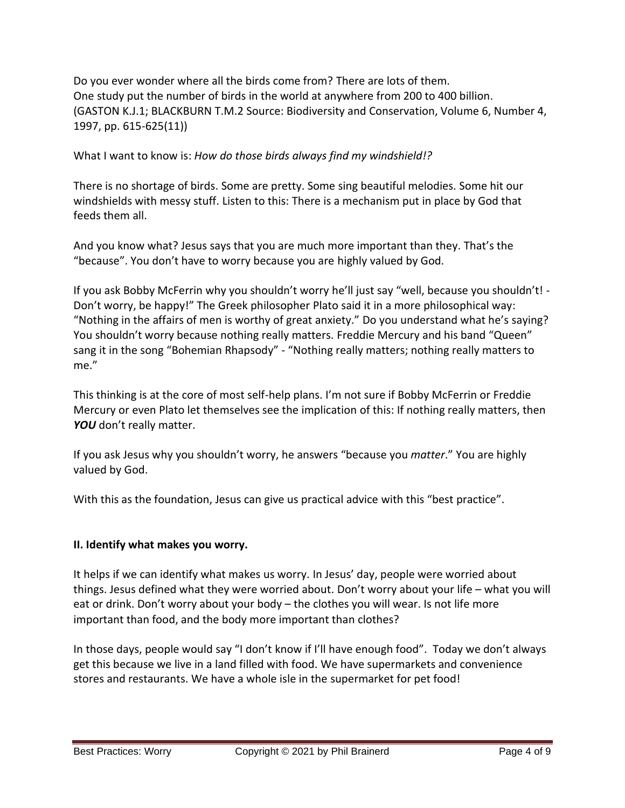Do you ever wonder where all the birds come from? There are lots of them. One study put the number of birds in the world at anywhere from 200 to 400 billion. (GASTON K.J.1; BLACKBURN T.M.2 Source: Biodiversity and Conservation, Volume 6, Number 4, 1997, pp. 615-625(11))

What I want to know is: *How do those birds always find my windshield!?*

There is no shortage of birds. Some are pretty. Some sing beautiful melodies. Some hit our windshields with messy stuff. Listen to this: There is a mechanism put in place by God that feeds them all.

And you know what? Jesus says that you are much more important than they. That's the "because". You don't have to worry because you are highly valued by God.

If you ask Bobby McFerrin why you shouldn't worry he'll just say "well, because you shouldn't! - Don't worry, be happy!" The Greek philosopher Plato said it in a more philosophical way: "Nothing in the affairs of men is worthy of great anxiety." Do you understand what he's saying? You shouldn't worry because nothing really matters. Freddie Mercury and his band "Queen" sang it in the song "Bohemian Rhapsody" - "Nothing really matters; nothing really matters to me."

This thinking is at the core of most self-help plans. I'm not sure if Bobby McFerrin or Freddie Mercury or even Plato let themselves see the implication of this: If nothing really matters, then *YOU* don't really matter.

If you ask Jesus why you shouldn't worry, he answers "because you *matter*." You are highly valued by God.

With this as the foundation, Jesus can give us practical advice with this "best practice".

# **II. Identify what makes you worry.**

It helps if we can identify what makes us worry. In Jesus' day, people were worried about things. Jesus defined what they were worried about. Don't worry about your life – what you will eat or drink. Don't worry about your body – the clothes you will wear. Is not life more important than food, and the body more important than clothes?

In those days, people would say "I don't know if I'll have enough food". Today we don't always get this because we live in a land filled with food. We have supermarkets and convenience stores and restaurants. We have a whole isle in the supermarket for pet food!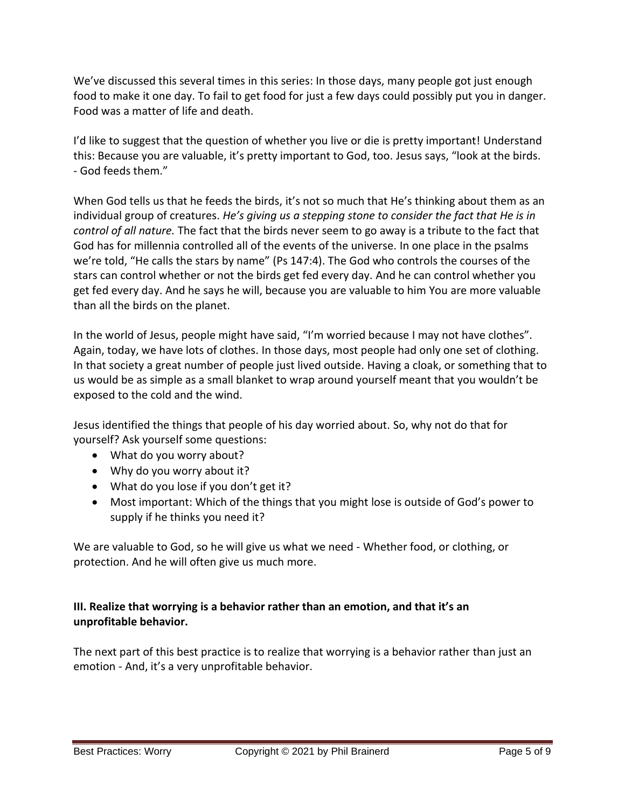We've discussed this several times in this series: In those days, many people got just enough food to make it one day. To fail to get food for just a few days could possibly put you in danger. Food was a matter of life and death.

I'd like to suggest that the question of whether you live or die is pretty important! Understand this: Because you are valuable, it's pretty important to God, too. Jesus says, "look at the birds. - God feeds them."

When God tells us that he feeds the birds, it's not so much that He's thinking about them as an individual group of creatures. *He's giving us a stepping stone to consider the fact that He is in control of all nature.* The fact that the birds never seem to go away is a tribute to the fact that God has for millennia controlled all of the events of the universe. In one place in the psalms we're told, "He calls the stars by name" (Ps 147:4). The God who controls the courses of the stars can control whether or not the birds get fed every day. And he can control whether you get fed every day. And he says he will, because you are valuable to him You are more valuable than all the birds on the planet.

In the world of Jesus, people might have said, "I'm worried because I may not have clothes". Again, today, we have lots of clothes. In those days, most people had only one set of clothing. In that society a great number of people just lived outside. Having a cloak, or something that to us would be as simple as a small blanket to wrap around yourself meant that you wouldn't be exposed to the cold and the wind.

Jesus identified the things that people of his day worried about. So, why not do that for yourself? Ask yourself some questions:

- What do you worry about?
- Why do you worry about it?
- What do you lose if you don't get it?
- Most important: Which of the things that you might lose is outside of God's power to supply if he thinks you need it?

We are valuable to God, so he will give us what we need - Whether food, or clothing, or protection. And he will often give us much more.

# **III. Realize that worrying is a behavior rather than an emotion, and that it's an unprofitable behavior.**

The next part of this best practice is to realize that worrying is a behavior rather than just an emotion - And, it's a very unprofitable behavior.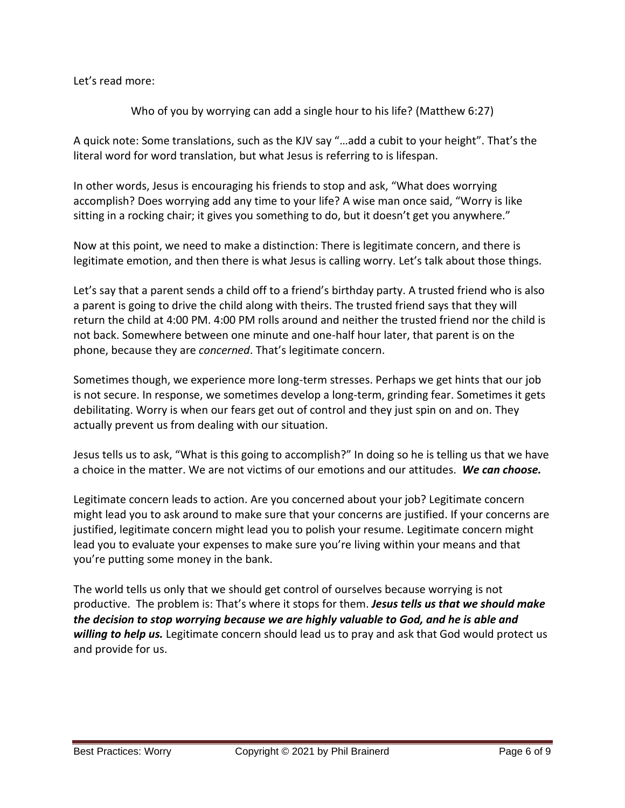Let's read more:

Who of you by worrying can add a single hour to his life? (Matthew 6:27)

A quick note: Some translations, such as the KJV say "…add a cubit to your height". That's the literal word for word translation, but what Jesus is referring to is lifespan.

In other words, Jesus is encouraging his friends to stop and ask, "What does worrying accomplish? Does worrying add any time to your life? A wise man once said, "Worry is like sitting in a rocking chair; it gives you something to do, but it doesn't get you anywhere."

Now at this point, we need to make a distinction: There is legitimate concern, and there is legitimate emotion, and then there is what Jesus is calling worry. Let's talk about those things.

Let's say that a parent sends a child off to a friend's birthday party. A trusted friend who is also a parent is going to drive the child along with theirs. The trusted friend says that they will return the child at 4:00 PM. 4:00 PM rolls around and neither the trusted friend nor the child is not back. Somewhere between one minute and one-half hour later, that parent is on the phone, because they are *concerned*. That's legitimate concern.

Sometimes though, we experience more long-term stresses. Perhaps we get hints that our job is not secure. In response, we sometimes develop a long-term, grinding fear. Sometimes it gets debilitating. Worry is when our fears get out of control and they just spin on and on. They actually prevent us from dealing with our situation.

Jesus tells us to ask, "What is this going to accomplish?" In doing so he is telling us that we have a choice in the matter. We are not victims of our emotions and our attitudes. *We can choose.*

Legitimate concern leads to action. Are you concerned about your job? Legitimate concern might lead you to ask around to make sure that your concerns are justified. If your concerns are justified, legitimate concern might lead you to polish your resume. Legitimate concern might lead you to evaluate your expenses to make sure you're living within your means and that you're putting some money in the bank.

The world tells us only that we should get control of ourselves because worrying is not productive. The problem is: That's where it stops for them. *Jesus tells us that we should make the decision to stop worrying because we are highly valuable to God, and he is able and willing to help us.* Legitimate concern should lead us to pray and ask that God would protect us and provide for us.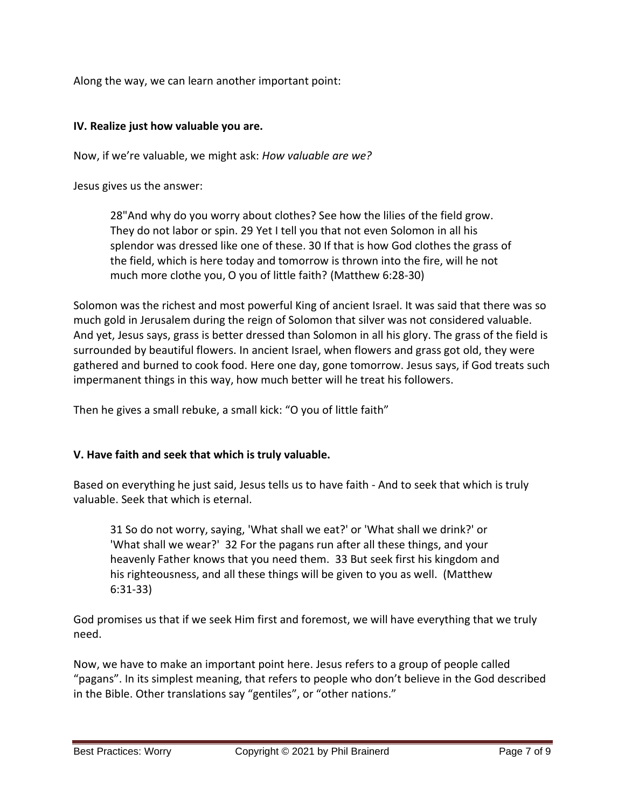Along the way, we can learn another important point:

### **IV. Realize just how valuable you are.**

Now, if we're valuable, we might ask: *How valuable are we?*

Jesus gives us the answer:

28"And why do you worry about clothes? See how the lilies of the field grow. They do not labor or spin. 29 Yet I tell you that not even Solomon in all his splendor was dressed like one of these. 30 If that is how God clothes the grass of the field, which is here today and tomorrow is thrown into the fire, will he not much more clothe you, O you of little faith? (Matthew 6:28-30)

Solomon was the richest and most powerful King of ancient Israel. It was said that there was so much gold in Jerusalem during the reign of Solomon that silver was not considered valuable. And yet, Jesus says, grass is better dressed than Solomon in all his glory. The grass of the field is surrounded by beautiful flowers. In ancient Israel, when flowers and grass got old, they were gathered and burned to cook food. Here one day, gone tomorrow. Jesus says, if God treats such impermanent things in this way, how much better will he treat his followers.

Then he gives a small rebuke, a small kick: "O you of little faith"

### **V. Have faith and seek that which is truly valuable.**

Based on everything he just said, Jesus tells us to have faith - And to seek that which is truly valuable. Seek that which is eternal.

31 So do not worry, saying, 'What shall we eat?' or 'What shall we drink?' or 'What shall we wear?' 32 For the pagans run after all these things, and your heavenly Father knows that you need them. 33 But seek first his kingdom and his righteousness, and all these things will be given to you as well. (Matthew 6:31-33)

God promises us that if we seek Him first and foremost, we will have everything that we truly need.

Now, we have to make an important point here. Jesus refers to a group of people called "pagans". In its simplest meaning, that refers to people who don't believe in the God described in the Bible. Other translations say "gentiles", or "other nations."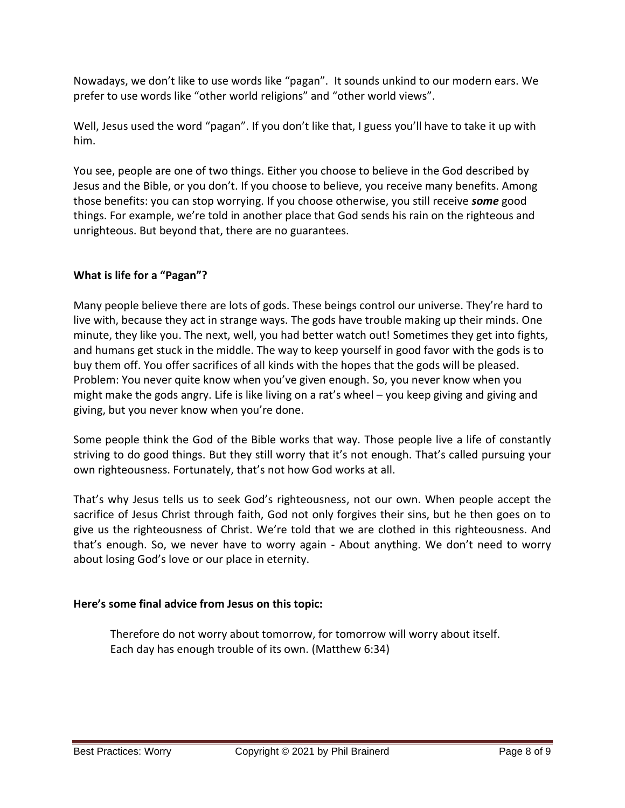Nowadays, we don't like to use words like "pagan". It sounds unkind to our modern ears. We prefer to use words like "other world religions" and "other world views".

Well, Jesus used the word "pagan". If you don't like that, I guess you'll have to take it up with him.

You see, people are one of two things. Either you choose to believe in the God described by Jesus and the Bible, or you don't. If you choose to believe, you receive many benefits. Among those benefits: you can stop worrying. If you choose otherwise, you still receive *some* good things. For example, we're told in another place that God sends his rain on the righteous and unrighteous. But beyond that, there are no guarantees.

### **What is life for a "Pagan"?**

Many people believe there are lots of gods. These beings control our universe. They're hard to live with, because they act in strange ways. The gods have trouble making up their minds. One minute, they like you. The next, well, you had better watch out! Sometimes they get into fights, and humans get stuck in the middle. The way to keep yourself in good favor with the gods is to buy them off. You offer sacrifices of all kinds with the hopes that the gods will be pleased. Problem: You never quite know when you've given enough. So, you never know when you might make the gods angry. Life is like living on a rat's wheel – you keep giving and giving and giving, but you never know when you're done.

Some people think the God of the Bible works that way. Those people live a life of constantly striving to do good things. But they still worry that it's not enough. That's called pursuing your own righteousness. Fortunately, that's not how God works at all.

That's why Jesus tells us to seek God's righteousness, not our own. When people accept the sacrifice of Jesus Christ through faith, God not only forgives their sins, but he then goes on to give us the righteousness of Christ. We're told that we are clothed in this righteousness. And that's enough. So, we never have to worry again - About anything. We don't need to worry about losing God's love or our place in eternity.

### **Here's some final advice from Jesus on this topic:**

Therefore do not worry about tomorrow, for tomorrow will worry about itself. Each day has enough trouble of its own. (Matthew 6:34)